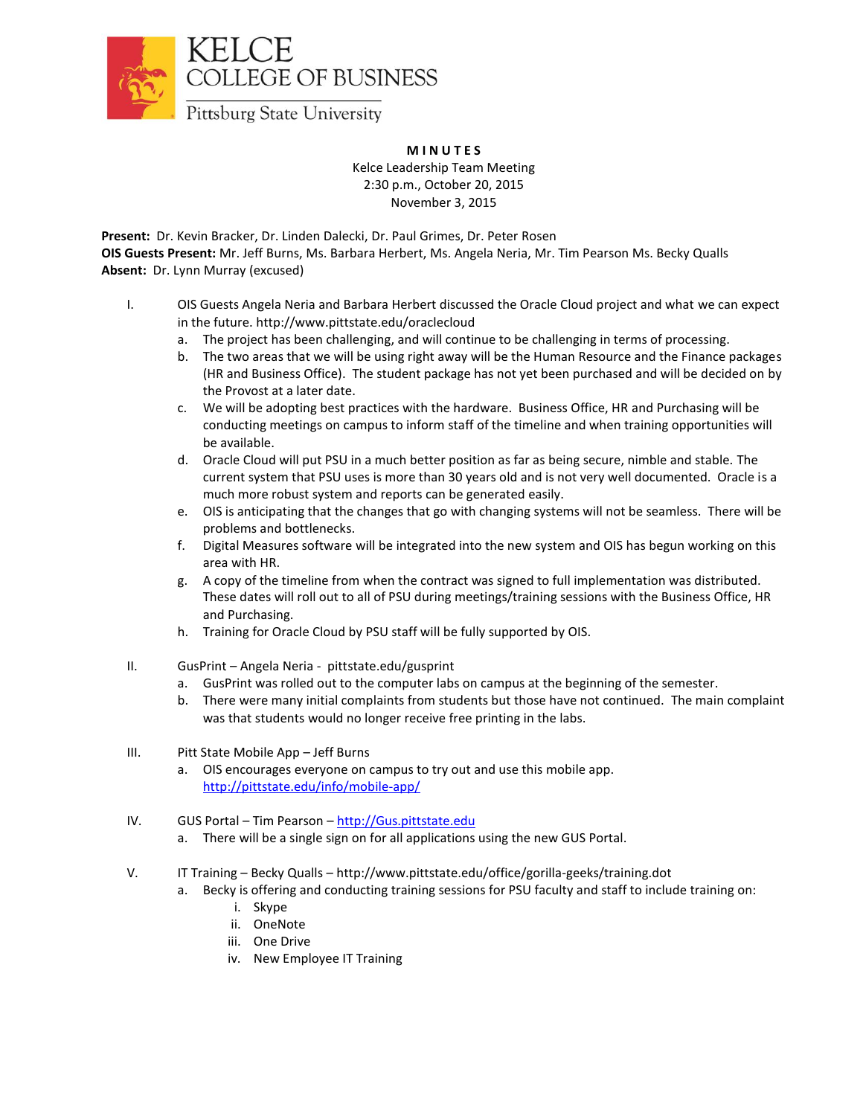

**COLLEGE OF BUSINESS** 

Pittsburg State University

## **M I N U T E S**

Kelce Leadership Team Meeting 2:30 p.m., October 20, 2015 November 3, 2015

**Present:** Dr. Kevin Bracker, Dr. Linden Dalecki, Dr. Paul Grimes, Dr. Peter Rosen **OIS Guests Present:** Mr. Jeff Burns, Ms. Barbara Herbert, Ms. Angela Neria, Mr. Tim Pearson Ms. Becky Qualls **Absent:** Dr. Lynn Murray (excused)

- I. OIS Guests Angela Neria and Barbara Herbert discussed the Oracle Cloud project and what we can expect in the future. http://www.pittstate.edu/oraclecloud
	- a. The project has been challenging, and will continue to be challenging in terms of processing.
	- b. The two areas that we will be using right away will be the Human Resource and the Finance packages (HR and Business Office). The student package has not yet been purchased and will be decided on by the Provost at a later date.
	- c. We will be adopting best practices with the hardware. Business Office, HR and Purchasing will be conducting meetings on campus to inform staff of the timeline and when training opportunities will be available.
	- d. Oracle Cloud will put PSU in a much better position as far as being secure, nimble and stable. The current system that PSU uses is more than 30 years old and is not very well documented. Oracle is a much more robust system and reports can be generated easily.
	- e. OIS is anticipating that the changes that go with changing systems will not be seamless. There will be problems and bottlenecks.
	- f. Digital Measures software will be integrated into the new system and OIS has begun working on this area with HR.
	- g. A copy of the timeline from when the contract was signed to full implementation was distributed. These dates will roll out to all of PSU during meetings/training sessions with the Business Office, HR and Purchasing.
	- h. Training for Oracle Cloud by PSU staff will be fully supported by OIS.
- II. GusPrint Angela Neria pittstate.edu/gusprint
	- a. GusPrint was rolled out to the computer labs on campus at the beginning of the semester.
	- b. There were many initial complaints from students but those have not continued. The main complaint was that students would no longer receive free printing in the labs.
- III. Pitt State Mobile App Jeff Burns
	- a. OIS encourages everyone on campus to try out and use this mobile app. <http://pittstate.edu/info/mobile-app/>
- IV. GUS Portal Tim Pearson [http://Gus.pittstate.edu](http://gus.pittstate.edu/)
	- a. There will be a single sign on for all applications using the new GUS Portal.
- V. IT Training Becky Qualls http://www.pittstate.edu/office/gorilla-geeks/training.dot
	- a. Becky is offering and conducting training sessions for PSU faculty and staff to include training on:
		- i. Skype
		- ii. OneNote
		- iii. One Drive
		- iv. New Employee IT Training